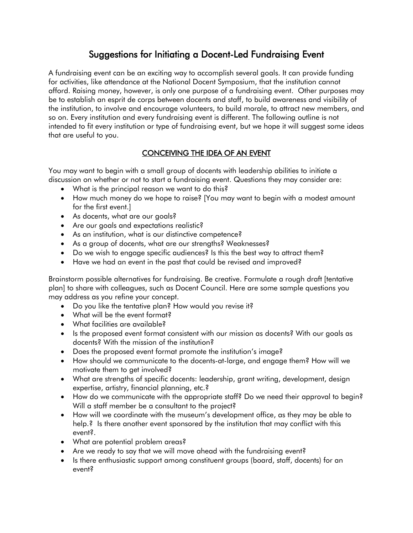# Suggestions for Initiating a Docent-Led Fundraising Event

A fundraising event can be an exciting way to accomplish several goals. It can provide funding for activities, like attendance at the National Docent Symposium, that the institution cannot afford. Raising money, however, is only one purpose of a fundraising event. Other purposes may be to establish an esprit de corps between docents and staff, to build awareness and visibility of the institution, to involve and encourage volunteers, to build morale, to attract new members, and so on. Every institution and every fundraising event is different. The following outline is not intended to fit every institution or type of fundraising event, but we hope it will suggest some ideas that are useful to you.

# CONCEIVING THE IDEA OF AN EVENT

You may want to begin with a small group of docents with leadership abilities to initiate a discussion on whether or not to start a fundraising event. Questions they may consider are:

- What is the principal reason we want to do this?
- How much money do we hope to raise? [You may want to begin with a modest amount for the first event.]
- As docents, what are our goals?
- Are our goals and expectations realistic?
- As an institution, what is our distinctive competence?
- As a group of docents, what are our strengths? Weaknesses?
- Do we wish to engage specific audiences? Is this the best way to attract them?
- Have we had an event in the past that could be revised and improved?

Brainstorm possible alternatives for fundraising. Be creative. Formulate a rough draft [tentative plan] to share with colleagues, such as Docent Council. Here are some sample questions you may address as you refine your concept.

- Do you like the tentative plan? How would you revise it?
- What will be the event format?
- What facilities are available?
- Is the proposed event format consistent with our mission as docents? With our goals as docents? With the mission of the institution?
- Does the proposed event format promote the institution's image?
- How should we communicate to the docents-at-large, and engage them? How will we motivate them to get involved?
- What are strengths of specific docents: leadership, grant writing, development, design expertise, artistry, financial planning, etc.?
- How do we communicate with the appropriate staff? Do we need their approval to begin? Will a staff member be a consultant to the project?
- How will we coordinate with the museum's development office, as they may be able to help.? Is there another event sponsored by the institution that may conflict with this event?.
- What are potential problem areas?
- Are we ready to say that we will move ahead with the fundraising event?
- Is there enthusiastic support among constituent groups (board, staff, docents) for an event?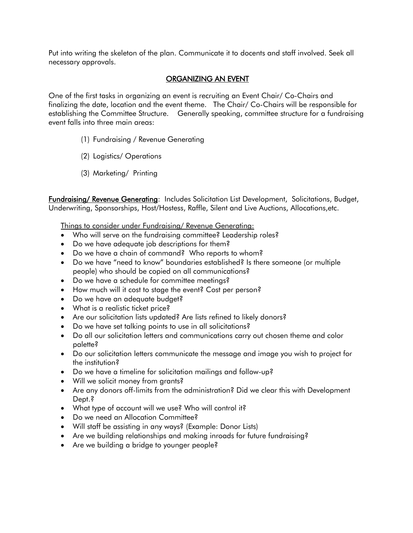Put into writing the skeleton of the plan. Communicate it to docents and staff involved. Seek all necessary approvals.

### ORGANIZING AN EVENT

One of the first tasks in organizing an event is recruiting an Event Chair/ Co-Chairs and finalizing the date, location and the event theme. The Chair/ Co-Chairs will be responsible for establishing the Committee Structure. Generally speaking, committee structure for a fundraising event falls into three main areas:

- (1) Fundraising / Revenue Generating
- (2) Logistics/ Operations
- (3) Marketing/ Printing

Fundraising/ Revenue Generating: Includes Solicitation List Development, Solicitations, Budget, Underwriting, Sponsorships, Host/Hostess, Raffle, Silent and Live Auctions, Allocations,etc.

Things to consider under Fundraising/ Revenue Generating:

- Who will serve on the fundraising committee? Leadership roles?
- Do we have adequate job descriptions for them?
- Do we have a chain of command? Who reports to whom?
- Do we have "need to know" boundaries established? Is there someone (or multiple people) who should be copied on all communications?
- Do we have a schedule for committee meetings?
- How much will it cost to stage the event? Cost per person?
- Do we have an adequate budget?
- What is a realistic ticket price?
- Are our solicitation lists updated? Are lists refined to likely donors?
- Do we have set talking points to use in all solicitations?
- Do all our solicitation letters and communications carry out chosen theme and color palette?
- Do our solicitation letters communicate the message and image you wish to project for the institution?
- Do we have a timeline for solicitation mailings and follow-up?
- Will we solicit money from grants?
- Are any donors off-limits from the administration? Did we clear this with Development Dept.?
- What type of account will we use? Who will control it?
- Do we need an Allocation Committee?
- Will staff be assisting in any ways? (Example: Donor Lists)
- Are we building relationships and making inroads for future fundraising?
- Are we building a bridge to younger people?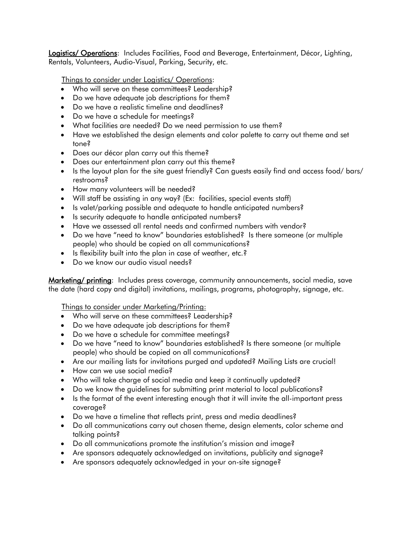Logistics/ Operations: Includes Facilities, Food and Beverage, Entertainment, Décor, Lighting, Rentals, Volunteers, Audio-Visual, Parking, Security, etc.

Things to consider under Logistics/ Operations:

- Who will serve on these committees? Leadership?
- Do we have adequate job descriptions for them?
- Do we have a realistic timeline and deadlines?
- Do we have a schedule for meetings?
- What facilities are needed? Do we need permission to use them?
- Have we established the design elements and color palette to carry out theme and set tone?
- Does our décor plan carry out this theme?
- Does our entertainment plan carry out this theme?
- Is the layout plan for the site guest friendly? Can guests easily find and access food/ bars/ restrooms?
- How many volunteers will be needed?
- Will staff be assisting in any way? (Ex: facilities, special events staff)
- Is valet/parking possible and adequate to handle anticipated numbers?
- Is security adequate to handle anticipated numbers?
- Have we assessed all rental needs and confirmed numbers with vendor?
- Do we have "need to know" boundaries established? Is there someone (or multiple people) who should be copied on all communications?
- Is flexibility built into the plan in case of weather, etc.?
- Do we know our audio visual needs?

Marketing/ printing: Includes press coverage, community announcements, social media, save the date (hard copy and digital) invitations, mailings, programs, photography, signage, etc.

#### Things to consider under Marketing/Printing:

- Who will serve on these committees? Leadership?
- Do we have adequate job descriptions for them?
- Do we have a schedule for committee meetings?
- Do we have "need to know" boundaries established? Is there someone (or multiple people) who should be copied on all communications?
- Are our mailing lists for invitations purged and updated? Mailing Lists are crucial!
- How can we use social media?
- Who will take charge of social media and keep it continually updated?
- Do we know the guidelines for submitting print material to local publications?
- Is the format of the event interesting enough that it will invite the all-important press coverage?
- Do we have a timeline that reflects print, press and media deadlines?
- Do all communications carry out chosen theme, design elements, color scheme and talking points?
- Do all communications promote the institution's mission and image?
- Are sponsors adequately acknowledged on invitations, publicity and signage?
- Are sponsors adequately acknowledged in your on-site signage?